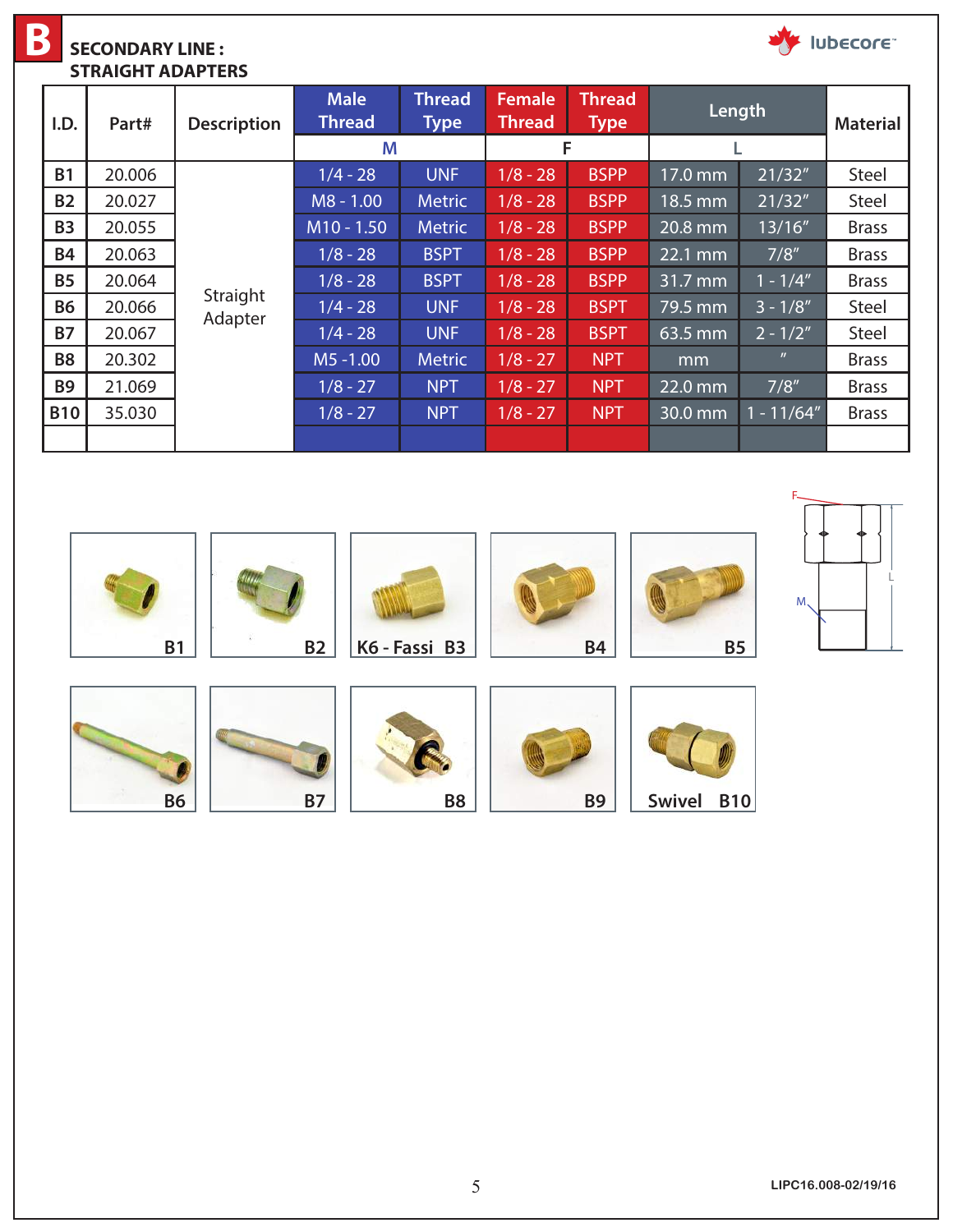**B** V lubecore **SECONDARY LINE : STRAIGHT ADAPTERS Male Thread Female Thread Type Length Material Thread Type Thread I.D. Part# Description M F L** 1/4 - 28 UNF 1/8 - 28 BSPP 17.0 mm 21/32" Steel **B1** 20.006 **B2** 20.027 M8 - 1.00 Metric 1/8 - 28 BSPP 18.5 mm 21/32" Steel **B3** 20.055 M10 - 1.50 Metric 1/8 - 28 BSPP 20.8 mm 13/16" Brass **B4** 20.063 **11.12 - 28 | BSPT | 1/8 - 28 | BSPP | 22.1 mm | 7/8" | Brass B5** 20.064 20.064 28 1/8 - 28 BSPT 1/8 - 28 BSPP 31.7 mm 1 - 1/4" Brass Straight **B6** 20.066 | **Brandfilt** 1/4 - 28 | UNF | 1/8 - 28 | BSPT | 79.5 mm | 3 - 1/8" | Steel Adapter **B7** 20.067 **1/4 - 28 UNF 1/8 - 28 BSPT 63.5 mm 2 - 1/2" Steel B8** 20.302 M5 -1.00 Metric 1/8 - 27 NPT mm " Brass **B9** 21.069 201.069 27 1/8 - 27 NPT 27 1/8 - 27 NPT 22.0 mm 37/8" Brass **B10** 35.030 1 1/8 - 27 NPT 1/8 - 27 NPT 30.0 mm 1 - 11/64" Brass



5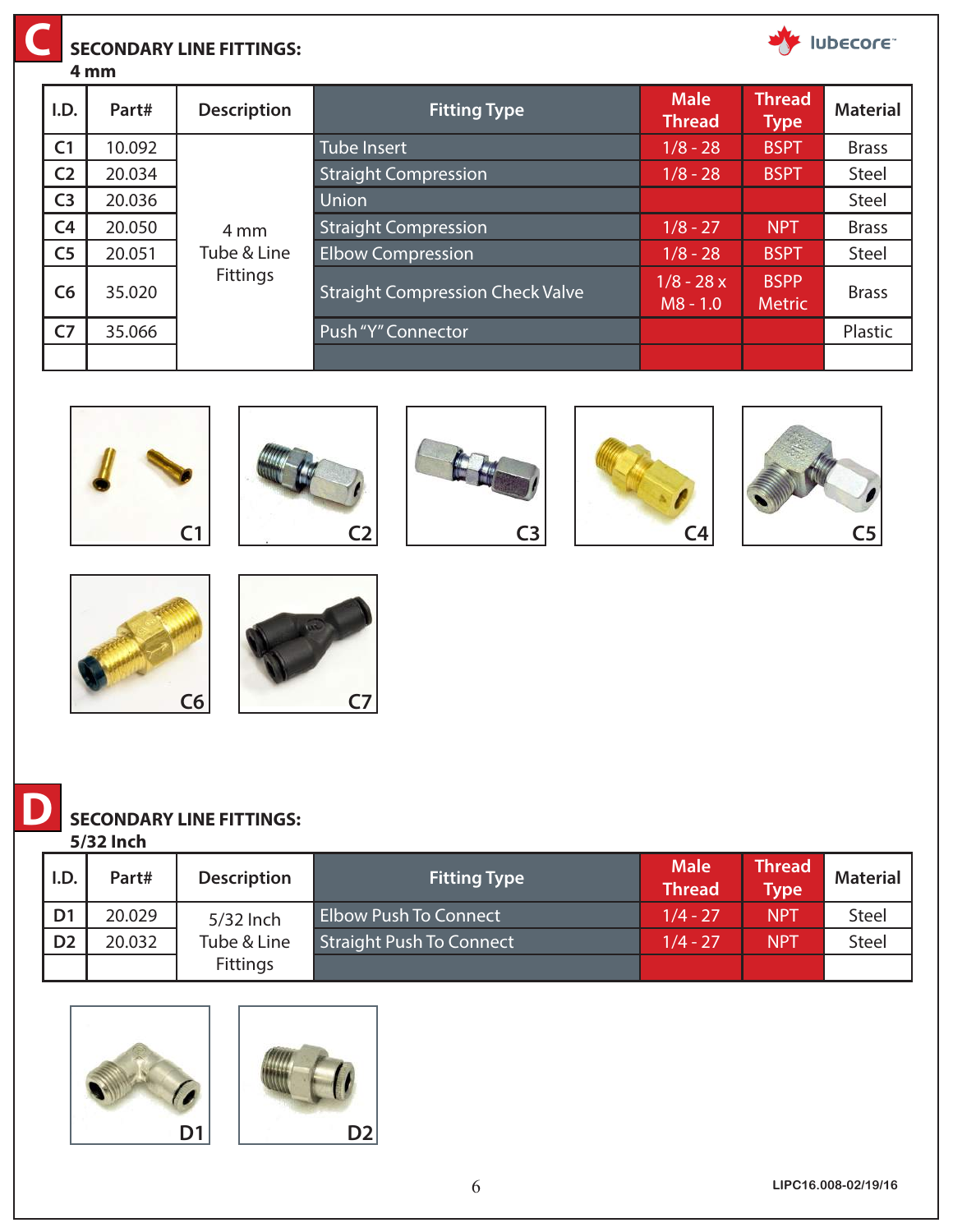### **SECONDARY LINE FITTINGS:**

**4 mm C**

|                | ÷ 111111 |                    |                                         |                           |                              |                 |
|----------------|----------|--------------------|-----------------------------------------|---------------------------|------------------------------|-----------------|
| I.D.           | Part#    | <b>Description</b> | <b>Fitting Type</b>                     | <b>Male</b><br>Thread     | <b>Thread</b><br>Type        | <b>Material</b> |
| C <sub>1</sub> | 10.092   |                    | Tube Insert                             | $1/8 - 28$                | <b>BSPT</b>                  | <b>Brass</b>    |
| C <sub>2</sub> | 20.034   |                    | <b>Straight Compression</b>             | $1/8 - 28$                | <b>BSPT</b>                  | Steel           |
| C <sub>3</sub> | 20.036   |                    | Union                                   |                           |                              | Steel           |
| C <sub>4</sub> | 20.050   | 4 mm               | <b>Straight Compression</b>             | $1/8 - 27$                | <b>NPT</b>                   | <b>Brass</b>    |
| C <sub>5</sub> | 20.051   | Tube & Line        | <b>Elbow Compression</b>                | $1/8 - 28$                | <b>BSPT</b>                  | Steel           |
| C6             | 35.020   | <b>Fittings</b>    | <b>Straight Compression Check Valve</b> | $1/8 - 28x$<br>$MS - 1.0$ | <b>BSPP</b><br><b>Metric</b> | <b>Brass</b>    |
| C <sub>7</sub> | 35.066   |                    | Push "Y" Connector                      |                           |                              | Plastic         |
|                |          |                    |                                         |                           |                              |                 |

















## **SECONDARY LINE FITTINGS:**

**5/32 Inch**

| I.D.           | Part#  | <b>Description</b> | <b>Fitting Type</b>             | <b>Male</b><br><b>Thread</b> | <b>Thread</b><br>Type <sup>1</sup> | <b>Material</b> |
|----------------|--------|--------------------|---------------------------------|------------------------------|------------------------------------|-----------------|
| D <sub>1</sub> | 20.029 | 5/32 Inch          | <b>Elbow Push To Connect</b>    | $1/4 - 27$                   | <b>NPT</b>                         | Steel           |
| D <sub>2</sub> | 20.032 | Tube & Line        | <b>Straight Push To Connect</b> | $1/4 - 27$                   | <b>NPT</b>                         | <b>Steel</b>    |
|                |        | <b>Fittings</b>    |                                 |                              |                                    |                 |



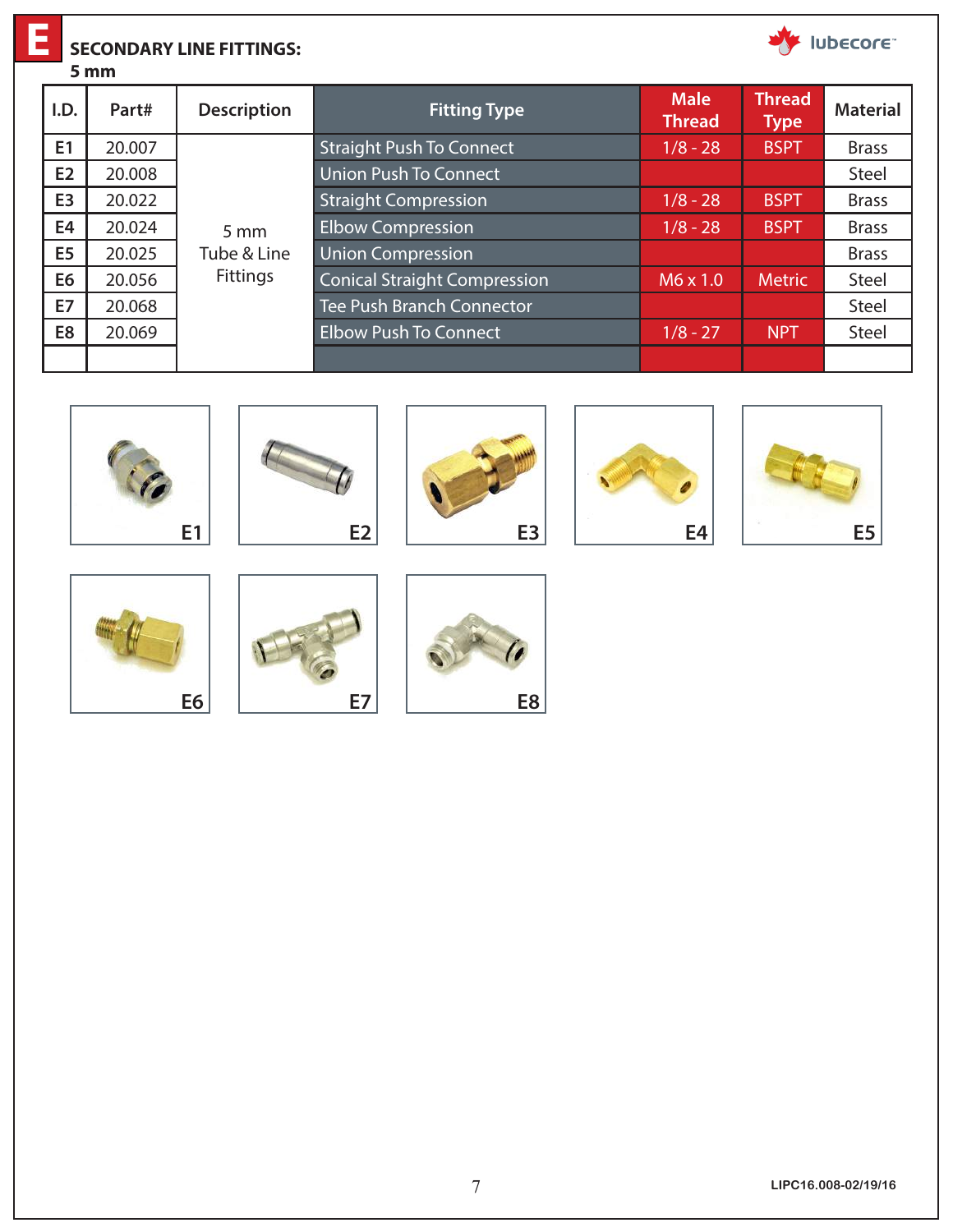### **SECONDARY LINE FITTINGS:**

**E**

|                | 5 mm   |                    |                                     |                              |                              |                 |
|----------------|--------|--------------------|-------------------------------------|------------------------------|------------------------------|-----------------|
| I.D.           | Part#  | <b>Description</b> | <b>Fitting Type</b>                 | <b>Male</b><br><b>Thread</b> | <b>Thread</b><br><b>Type</b> | <b>Material</b> |
| E1             | 20.007 |                    | <b>Straight Push To Connect</b>     | $1/8 - 28$                   | <b>BSPT</b>                  | <b>Brass</b>    |
| E2             | 20.008 |                    | Union Push To Connect               |                              |                              | <b>Steel</b>    |
| E <sub>3</sub> | 20.022 |                    | <b>Straight Compression</b>         | $1/8 - 28$                   | <b>BSPT</b>                  | <b>Brass</b>    |
| E4             | 20.024 | $5 \, \text{mm}$   | <b>Elbow Compression</b>            | $1/8 - 28$                   | <b>BSPT</b>                  | <b>Brass</b>    |
| E <sub>5</sub> | 20.025 | Tube & Line        | <b>Union Compression</b>            |                              |                              | <b>Brass</b>    |
| E <sub>6</sub> | 20.056 | <b>Fittings</b>    | <b>Conical Straight Compression</b> | $M6 \times 1.0$              | <b>Metric</b>                | Steel           |
| <b>E7</b>      | 20.068 |                    | <b>Tee Push Branch Connector</b>    |                              |                              | <b>Steel</b>    |
| E8             | 20.069 |                    | <b>Elbow Push To Connect</b>        | $1/8 - 27$                   | <b>NPT</b>                   | Steel           |
|                |        |                    |                                     |                              |                              |                 |















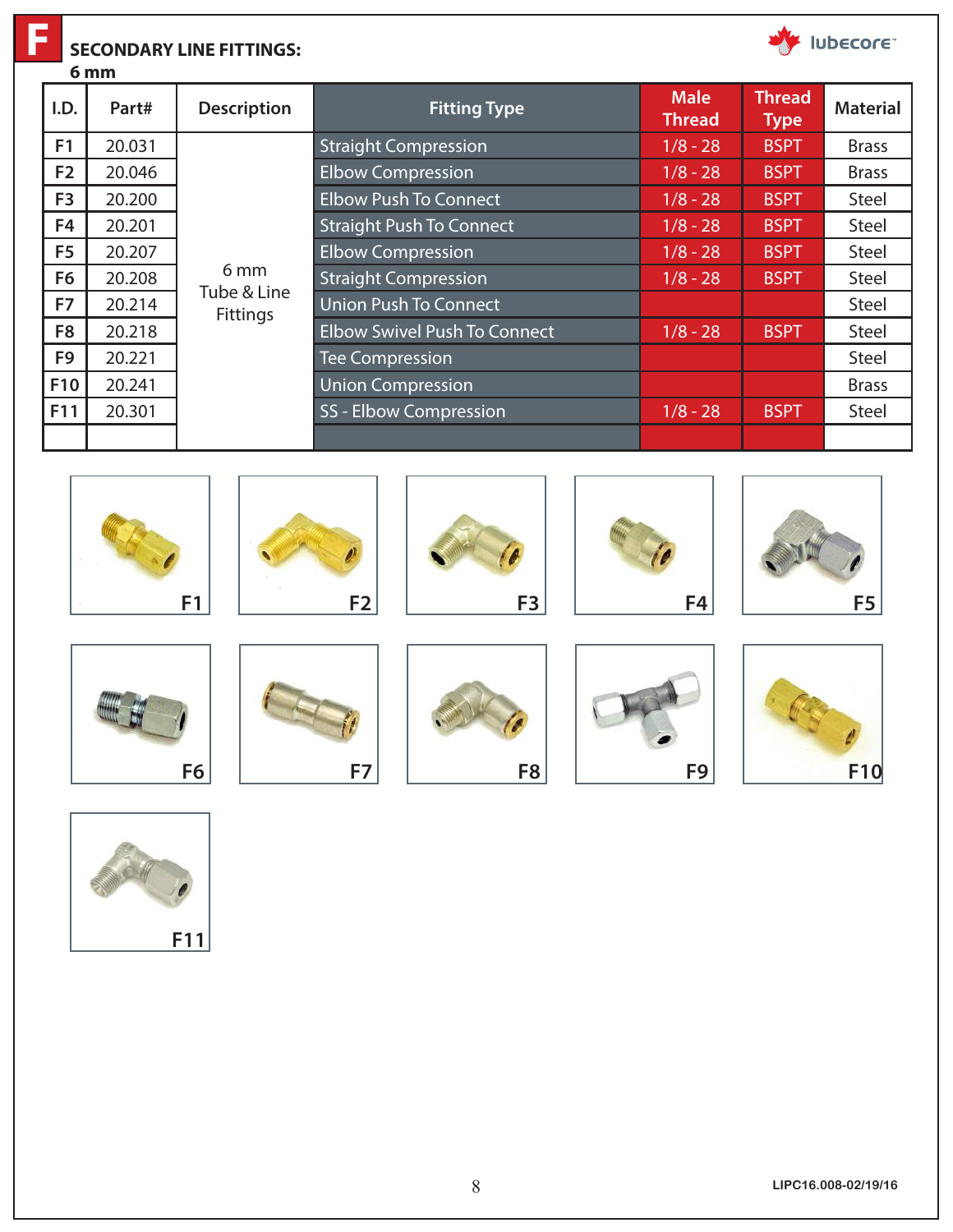**F**

#### **SECONDARY LINE FITTINGS:**

**6 mm**

|                | v IIIII |                         |                                     |                              |                              |                 |
|----------------|---------|-------------------------|-------------------------------------|------------------------------|------------------------------|-----------------|
| I.D.           | Part#   | <b>Description</b>      | <b>Fitting Type</b>                 | <b>Male</b><br><b>Thread</b> | <b>Thread</b><br><b>Type</b> | <b>Material</b> |
| F <sub>1</sub> | 20.031  |                         | <b>Straight Compression</b>         | $1/8 - 28$                   | <b>BSPT</b>                  | <b>Brass</b>    |
| F <sub>2</sub> | 20.046  |                         | <b>Elbow Compression</b>            | $1/8 - 28$                   | <b>BSPT</b>                  | <b>Brass</b>    |
| F <sub>3</sub> | 20.200  |                         | <b>Elbow Push To Connect</b>        | $1/8 - 28$                   | <b>BSPT</b>                  | Steel           |
| F4             | 20.201  |                         | <b>Straight Push To Connect</b>     | $1/8 - 28$                   | <b>BSPT</b>                  | <b>Steel</b>    |
| F <sub>5</sub> | 20.207  |                         | <b>Elbow Compression</b>            | $1/8 - 28$                   | <b>BSPT</b>                  | <b>Steel</b>    |
| F <sub>6</sub> | 20.208  | 6 mm                    | <b>Straight Compression</b>         | $1/8 - 28$                   | <b>BSPT</b>                  | <b>Steel</b>    |
| F7             | 20.214  | Tube & Line<br>Fittings | <b>Union Push To Connect</b>        |                              |                              | <b>Steel</b>    |
| F <sub>8</sub> | 20.218  |                         | <b>Elbow Swivel Push To Connect</b> | $1/8 - 28$                   | <b>BSPT</b>                  | <b>Steel</b>    |
| F <sub>9</sub> | 20.221  |                         | <b>Tee Compression</b>              |                              |                              | <b>Steel</b>    |
| <b>F10</b>     | 20.241  |                         | <b>Union Compression</b>            |                              |                              | <b>Brass</b>    |
| F11            | 20.301  |                         | <b>SS-Elbow Compression</b>         | $1/8 - 28$                   | <b>BSPT</b>                  | Steel           |
|                |         |                         |                                     |                              |                              |                 |











Ubecore

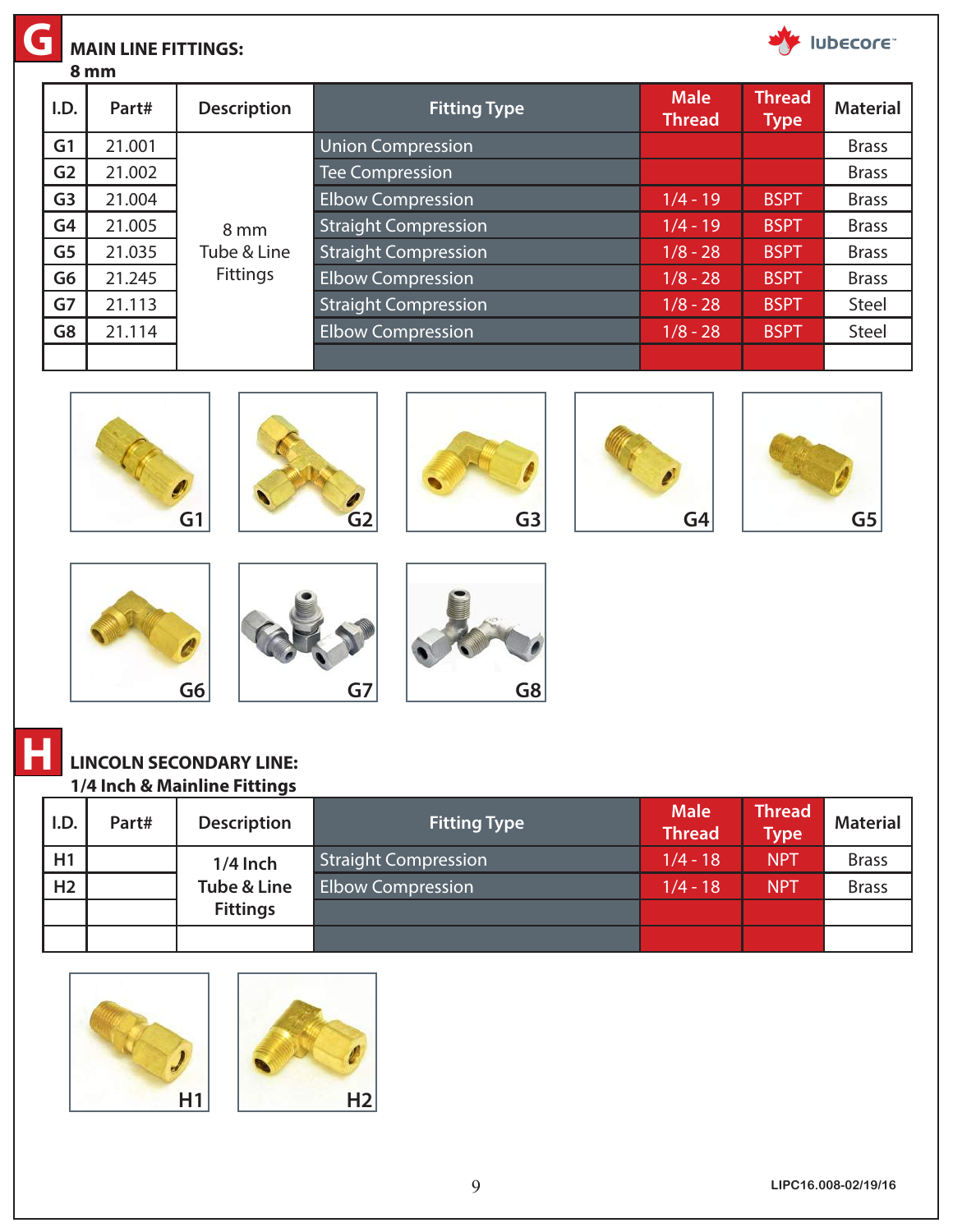| lubecore <sup>®</sup><br><b>MAIN LINE FITTINGS:</b><br>8 mm |                |        |                    |                             |                              |                              |                 |  |  |  |
|-------------------------------------------------------------|----------------|--------|--------------------|-----------------------------|------------------------------|------------------------------|-----------------|--|--|--|
|                                                             | I.D.           | Part#  | <b>Description</b> | <b>Fitting Type</b>         | <b>Male</b><br><b>Thread</b> | <b>Thread</b><br><b>Type</b> | <b>Material</b> |  |  |  |
|                                                             | G <sub>1</sub> | 21.001 |                    | <b>Union Compression</b>    |                              |                              | <b>Brass</b>    |  |  |  |
|                                                             | G <sub>2</sub> | 21.002 |                    | <b>Tee Compression</b>      |                              |                              | <b>Brass</b>    |  |  |  |
|                                                             | G <sub>3</sub> | 21.004 |                    | <b>Elbow Compression</b>    | $1/4 - 19$                   | <b>BSPT</b>                  | <b>Brass</b>    |  |  |  |
|                                                             | G4             | 21.005 | 8 mm               | <b>Straight Compression</b> | $1/4 - 19$                   | <b>BSPT</b>                  | <b>Brass</b>    |  |  |  |
|                                                             | G <sub>5</sub> | 21.035 | Tube & Line        | <b>Straight Compression</b> | $1/8 - 28$                   | <b>BSPT</b>                  | <b>Brass</b>    |  |  |  |
|                                                             | G6             | 21.245 | <b>Fittings</b>    | <b>Elbow Compression</b>    | $1/8 - 28$                   | <b>BSPT</b>                  | <b>Brass</b>    |  |  |  |
|                                                             | G7             | 21.113 |                    | <b>Straight Compression</b> | $1/8 - 28$                   | <b>BSPT</b>                  | Steel           |  |  |  |
|                                                             | G <sub>8</sub> | 21.114 |                    | <b>Elbow Compression</b>    | $1/8 - 28$                   | <b>BSPT</b>                  | Steel           |  |  |  |
|                                                             |                |        |                    |                             |                              |                              |                 |  |  |  |



















### **LINCOLN SECONDARY LINE: 1/4 Inch & Mainline Fittings**

| I.D.           | Part# | <b>Description</b>     | <b>Fitting Type</b>         | <b>Male</b><br><b>Thread</b> | <b>Thread</b><br><b>Type</b> | <b>Material</b> |
|----------------|-------|------------------------|-----------------------------|------------------------------|------------------------------|-----------------|
| H1             |       | $1/4$ lnch             | <b>Straight Compression</b> | $1/4 - 18$                   | <b>NPT</b>                   | <b>Brass</b>    |
| H <sub>2</sub> |       | <b>Tube &amp; Line</b> | <b>Elbow Compression</b>    | $1/4 - 18$                   | <b>NPT</b>                   | <b>Brass</b>    |
|                |       | <b>Fittings</b>        |                             |                              |                              |                 |
|                |       |                        |                             |                              |                              |                 |

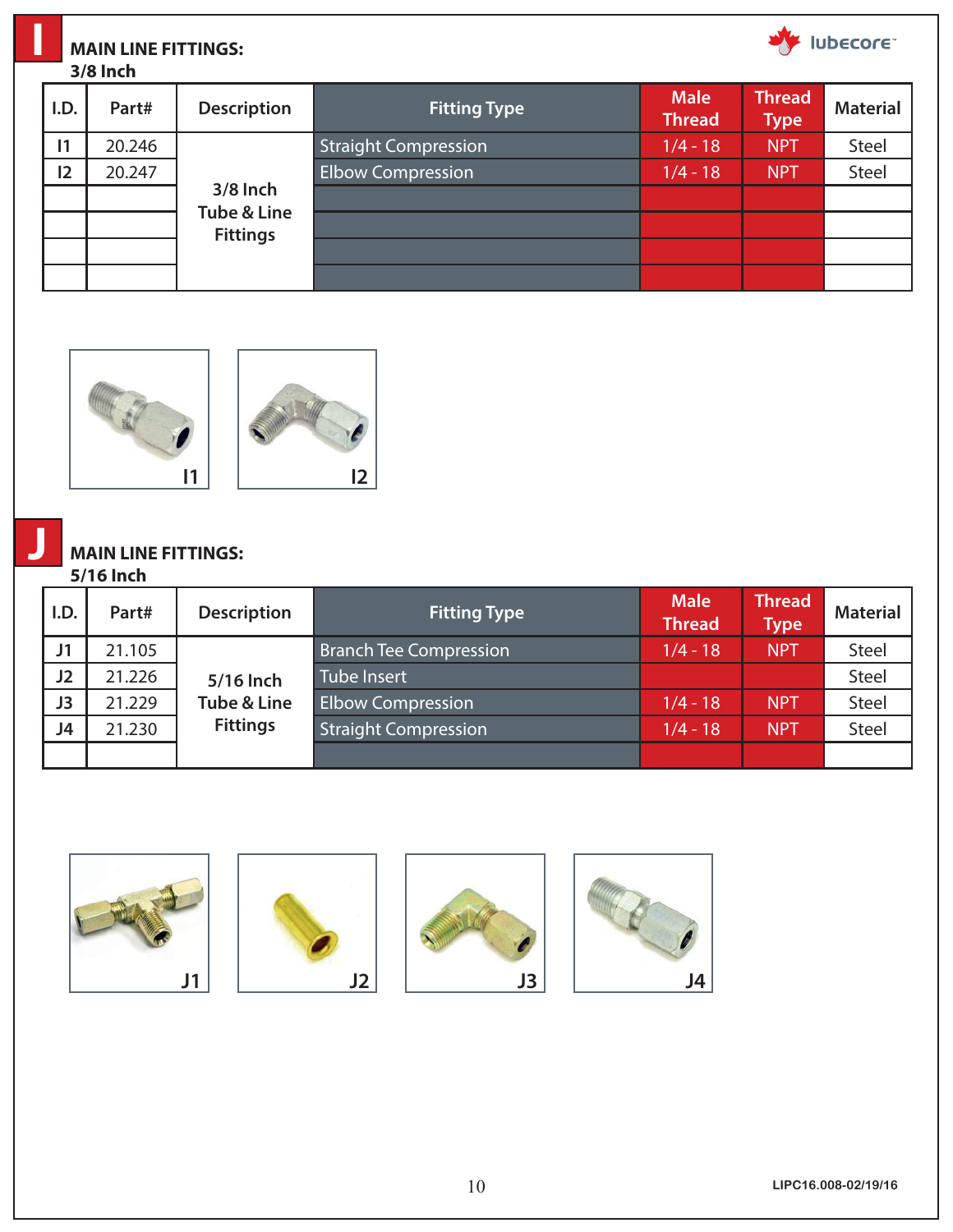| lubecore<br><b>MAIN LINE FITTINGS:</b><br><b>3/8 Inch</b> |        |                    |                             |                              |                              |               |  |  |
|-----------------------------------------------------------|--------|--------------------|-----------------------------|------------------------------|------------------------------|---------------|--|--|
| I.D.                                                      | Part#  | <b>Description</b> | <b>Fitting Type</b>         | <b>Male</b><br><b>Thread</b> | <b>Thread</b><br><b>Type</b> | <b>Materi</b> |  |  |
| $\mathsf{I}$                                              | 20.246 |                    | <b>Straight Compression</b> | $1/4 - 18$                   | <b>NPT</b>                   | <b>Steel</b>  |  |  |
| 12                                                        | 20.247 |                    | <b>Elbow Compression</b>    | $1/4 - 18$                   | <b>NPT</b>                   | <b>Steel</b>  |  |  |
|                                                           |        | 3/8 Inch           |                             |                              |                              |               |  |  |





**Tube & Line Fittings**

# **MAIN LINE FITTINGS:**

#### **5/16 Inch**

**J**

| I.D.           | Part#  | <b>Description</b>     | <b>Fitting Type</b>         | <b>Male</b><br><b>Thread</b> | <b>Thread</b><br>${\sf Type}^{\dagger}$ | <b>Material</b> |
|----------------|--------|------------------------|-----------------------------|------------------------------|-----------------------------------------|-----------------|
| J <sub>1</sub> | 21.105 |                        | Branch Tee Compression      | $1/4 - 18$                   | <b>NPT</b>                              | Steel           |
| J2             | 21.226 | 5/16 Inch              | Tube Insert                 |                              |                                         | Steel           |
| J3             | 21.229 | <b>Tube &amp; Line</b> | <b>Elbow Compression</b>    | $1/4 - 18$                   | <b>NPT</b>                              | <b>Steel</b>    |
| J4             | 21.230 | <b>Fittings</b>        | <b>Straight Compression</b> | $1/4 - 18$                   | <b>NPT</b>                              | <b>Steel</b>    |
|                |        |                        |                             |                              |                                         |                 |









**Type Material**

Iubecore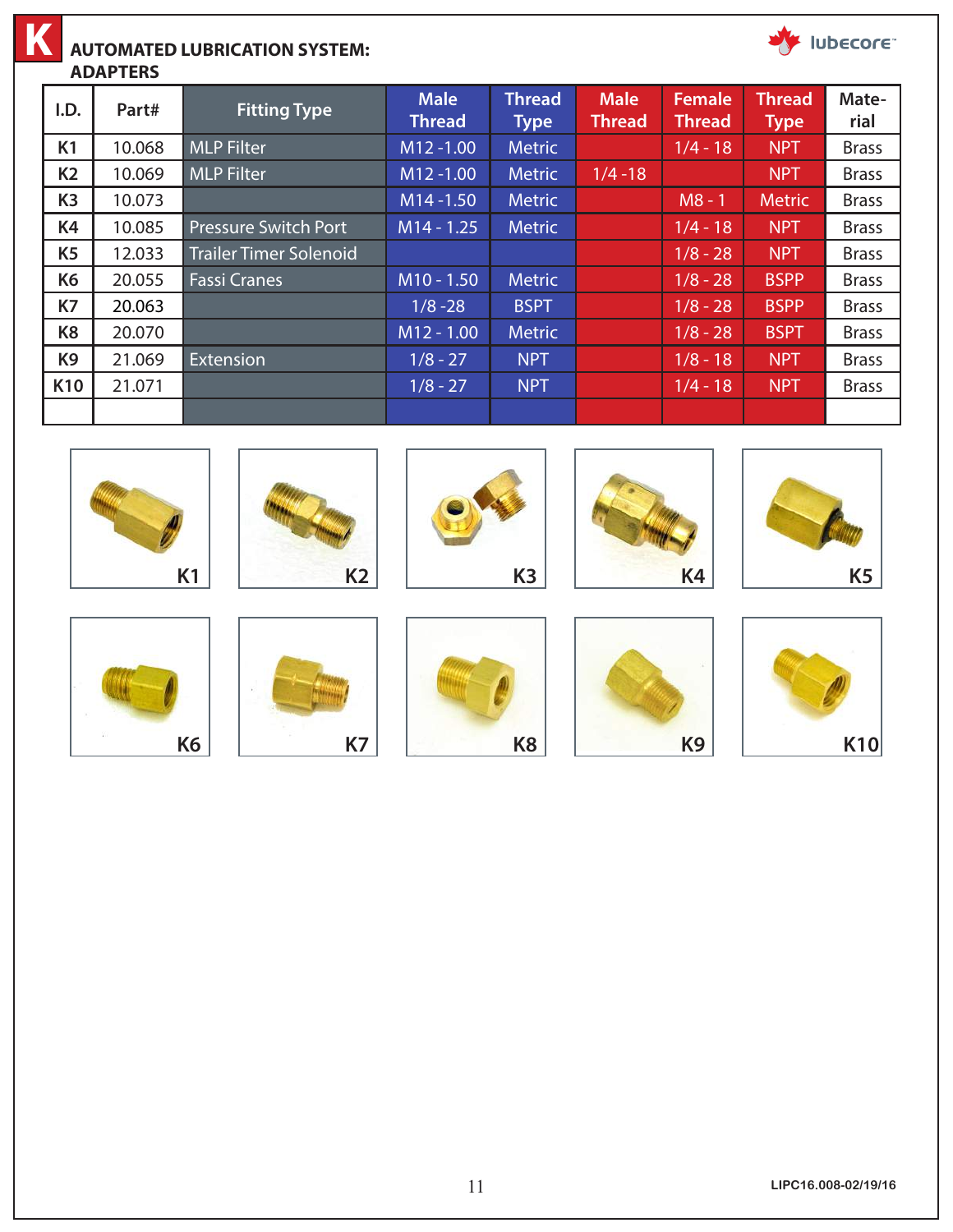

#### **AUTOMATED LUBRICATION SYSTEM:**

**ADAPTERS**





Iubecore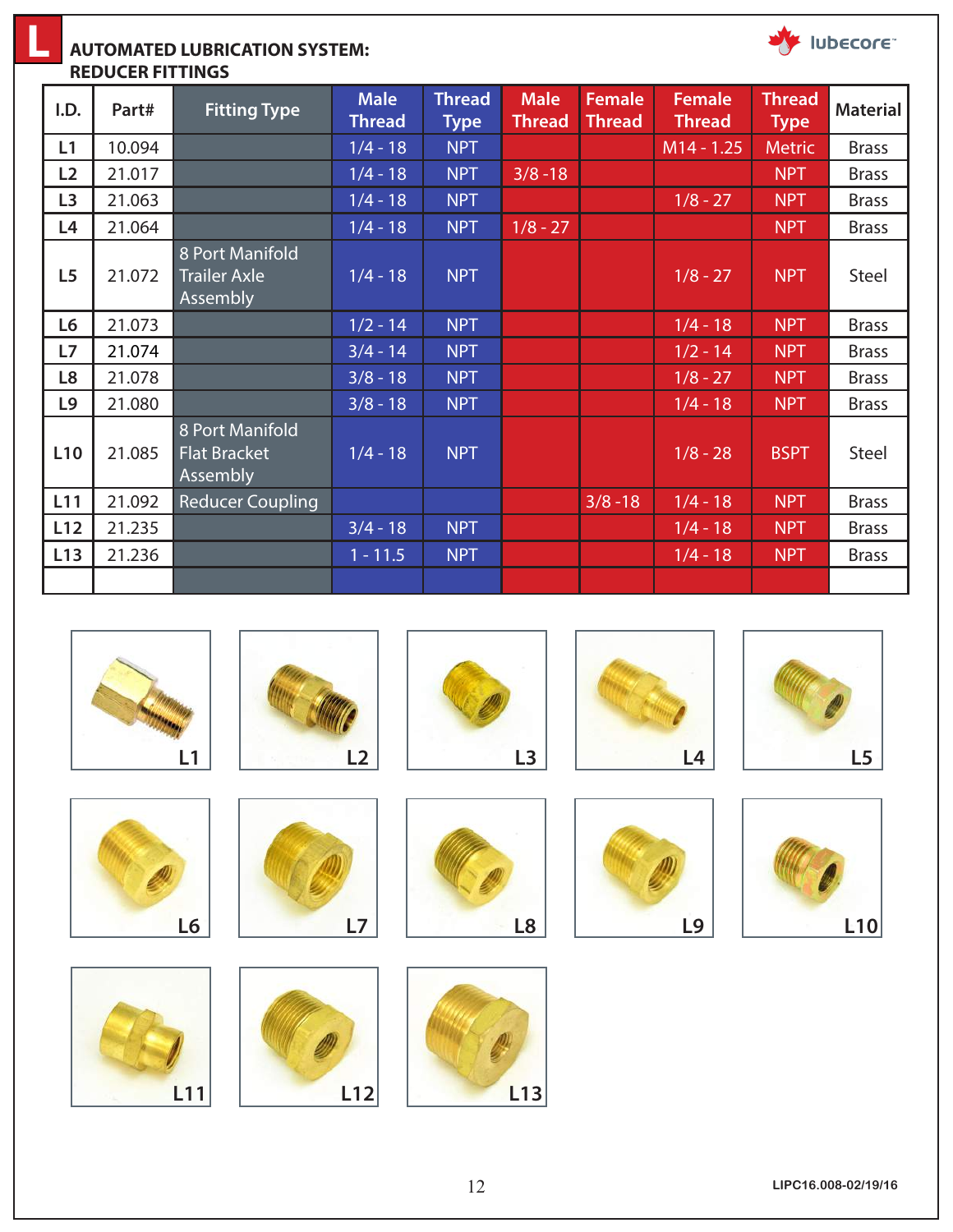

**L**

| I.D.            | Part#  | <b>Fitting Type</b>                                | <b>Male</b><br><b>Thread</b> | <b>Thread</b><br><b>Type</b> | <b>Male</b><br><b>Thread</b> | <b>Female</b><br><b>Thread</b> | <b>Female</b><br><b>Thread</b> | <b>Thread</b><br><b>Type</b> | <b>Material</b> |
|-----------------|--------|----------------------------------------------------|------------------------------|------------------------------|------------------------------|--------------------------------|--------------------------------|------------------------------|-----------------|
| L1              | 10.094 |                                                    | $1/4 - 18$                   | <b>NPT</b>                   |                              |                                | $M14 - 1.25$                   | <b>Metric</b>                | <b>Brass</b>    |
| L2              | 21.017 |                                                    | $1/4 - 18$                   | <b>NPT</b>                   | $3/8 - 18$                   |                                |                                | <b>NPT</b>                   | <b>Brass</b>    |
| L <sub>3</sub>  | 21.063 |                                                    | $1/4 - 18$                   | <b>NPT</b>                   |                              |                                | $1/8 - 27$                     | <b>NPT</b>                   | <b>Brass</b>    |
| L4              | 21.064 |                                                    | $1/4 - 18$                   | <b>NPT</b>                   | $1/8 - 27$                   |                                |                                | <b>NPT</b>                   | <b>Brass</b>    |
| L <sub>5</sub>  | 21.072 | 8 Port Manifold<br><b>Trailer Axle</b><br>Assembly | $1/4 - 18$                   | <b>NPT</b>                   |                              |                                | $1/8 - 27$                     | <b>NPT</b>                   | Steel           |
| L6              | 21.073 |                                                    | $1/2 - 14$                   | <b>NPT</b>                   |                              |                                | $1/4 - 18$                     | <b>NPT</b>                   | <b>Brass</b>    |
| L7              | 21.074 |                                                    | $3/4 - 14$                   | <b>NPT</b>                   |                              |                                | $1/2 - 14$                     | <b>NPT</b>                   | <b>Brass</b>    |
| L8              | 21.078 |                                                    | $3/8 - 18$                   | <b>NPT</b>                   |                              |                                | $1/8 - 27$                     | <b>NPT</b>                   | <b>Brass</b>    |
| L9              | 21.080 |                                                    | $3/8 - 18$                   | <b>NPT</b>                   |                              |                                | $1/4 - 18$                     | <b>NPT</b>                   | <b>Brass</b>    |
| L <sub>10</sub> | 21.085 | 8 Port Manifold<br><b>Flat Bracket</b><br>Assembly | $1/4 - 18$                   | <b>NPT</b>                   |                              |                                | $1/8 - 28$                     | <b>BSPT</b>                  | Steel           |
| L11             | 21.092 | <b>Reducer Coupling</b>                            |                              |                              |                              | $3/8 - 18$                     | $1/4 - 18$                     | <b>NPT</b>                   | <b>Brass</b>    |
| L12             | 21.235 |                                                    | $3/4 - 18$                   | <b>NPT</b>                   |                              |                                | $1/4 - 18$                     | <b>NPT</b>                   | <b>Brass</b>    |
| L13             | 21.236 |                                                    | $1 - 11.5$                   | <b>NPT</b>                   |                              |                                | $1/4 - 18$                     | <b>NPT</b>                   | <b>Brass</b>    |
|                 |        |                                                    |                              |                              |                              |                                |                                |                              |                 |



Iubecore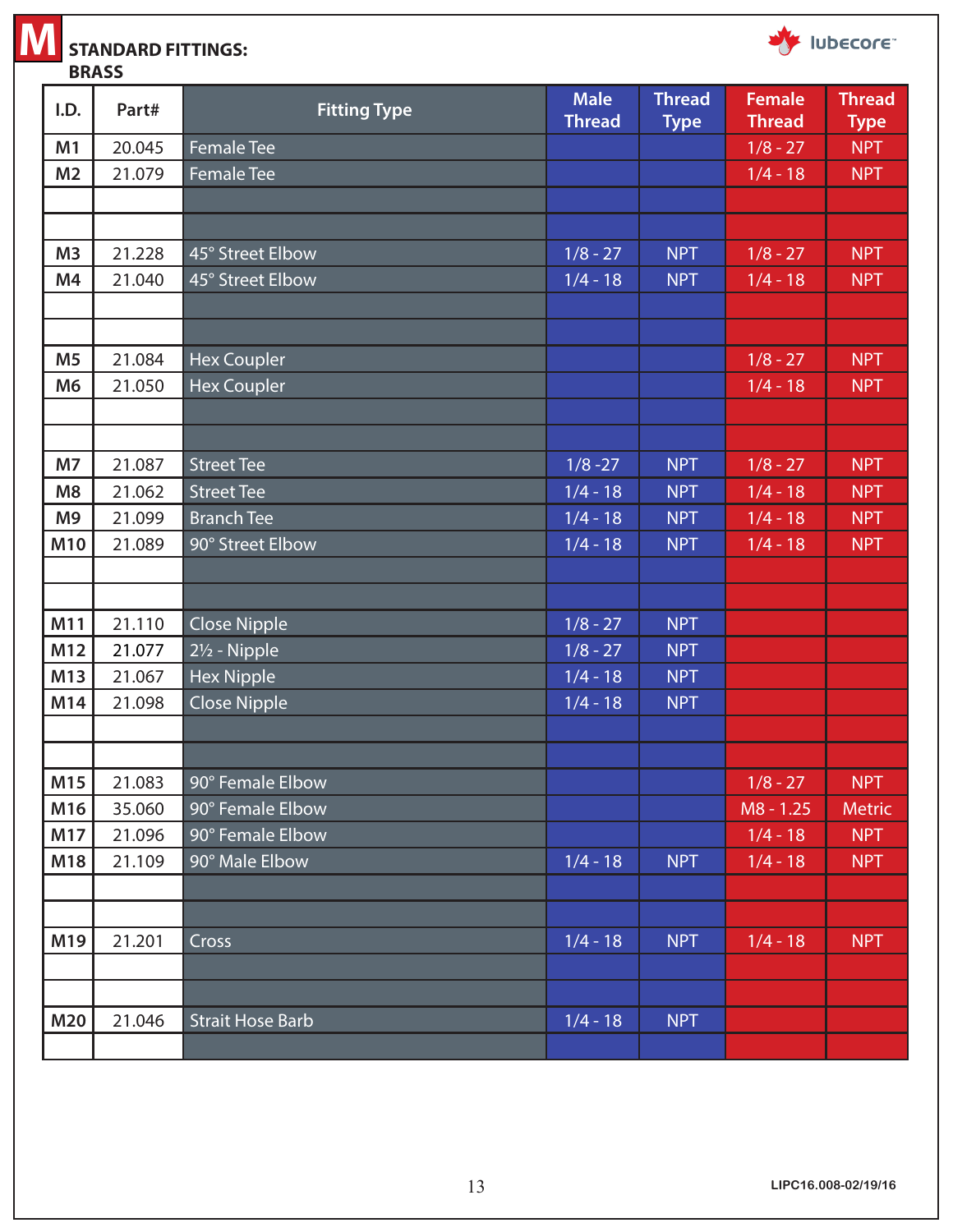

**STANDARD FITTINGS: BRASS**





| I.D.           | Part#  | <b>Fitting Type</b>       | <b>Male</b>   | <b>Thread</b> | <b>Female</b> | <b>Thread</b> |
|----------------|--------|---------------------------|---------------|---------------|---------------|---------------|
|                |        |                           | <b>Thread</b> | <b>Type</b>   | <b>Thread</b> | <b>Type</b>   |
| M1             | 20.045 | <b>Female Tee</b>         |               |               | $1/8 - 27$    | <b>NPT</b>    |
| M <sub>2</sub> | 21.079 | <b>Female Tee</b>         |               |               | $1/4 - 18$    | <b>NPT</b>    |
|                |        |                           |               |               |               |               |
|                |        |                           |               |               |               |               |
| M <sub>3</sub> | 21.228 | 45° Street Elbow          | $1/8 - 27$    | <b>NPT</b>    | $1/8 - 27$    | <b>NPT</b>    |
| M4             | 21.040 | 45° Street Elbow          | $1/4 - 18$    | <b>NPT</b>    | $1/4 - 18$    | <b>NPT</b>    |
|                |        |                           |               |               |               |               |
| M <sub>5</sub> | 21.084 | <b>Hex Coupler</b>        |               |               | $1/8 - 27$    | <b>NPT</b>    |
| M <sub>6</sub> | 21.050 | <b>Hex Coupler</b>        |               |               | $1/4 - 18$    | <b>NPT</b>    |
|                |        |                           |               |               |               |               |
|                |        |                           |               |               |               |               |
| <b>M7</b>      | 21.087 | <b>Street Tee</b>         | $1/8 - 27$    | <b>NPT</b>    | $1/8 - 27$    | <b>NPT</b>    |
| M <sub>8</sub> | 21.062 | <b>Street Tee</b>         | $1/4 - 18$    | <b>NPT</b>    | $1/4 - 18$    | <b>NPT</b>    |
| M <sub>9</sub> | 21.099 | <b>Branch Tee</b>         | $1/4 - 18$    | <b>NPT</b>    | $1/4 - 18$    | <b>NPT</b>    |
| M10            | 21.089 | 90° Street Elbow          | $1/4 - 18$    | <b>NPT</b>    | $1/4 - 18$    | <b>NPT</b>    |
|                |        |                           |               |               |               |               |
|                |        |                           |               |               |               |               |
| M11            | 21.110 | <b>Close Nipple</b>       | $1/8 - 27$    | <b>NPT</b>    |               |               |
| M12            | 21.077 | 21/ <sub>2</sub> - Nipple | $1/8 - 27$    | <b>NPT</b>    |               |               |
| M13            | 21.067 | <b>Hex Nipple</b>         | $1/4 - 18$    | <b>NPT</b>    |               |               |
| M14            | 21.098 | <b>Close Nipple</b>       | $1/4 - 18$    | <b>NPT</b>    |               |               |
|                |        |                           |               |               |               |               |
|                |        |                           |               |               |               |               |
| M15            | 21.083 | 90° Female Elbow          |               |               | $1/8 - 27$    | <b>NPT</b>    |
| M16            | 35.060 | 90° Female Elbow          |               |               | $M8 - 1.25$   | <b>Metric</b> |
| M17            | 21.096 | 90° Female Elbow          |               |               | $1/4 - 18$    | <b>NPT</b>    |
| M18            | 21.109 | 90° Male Elbow            | $1/4 - 18$    | <b>NPT</b>    | $1/4 - 18$    | <b>NPT</b>    |
|                |        |                           |               |               |               |               |
|                |        |                           |               |               |               |               |
| M19            | 21.201 | Cross                     | $1/4 - 18$    | <b>NPT</b>    | $1/4 - 18$    | <b>NPT</b>    |
|                |        |                           |               |               |               |               |
|                |        |                           |               |               |               |               |
| <b>M20</b>     | 21.046 | <b>Strait Hose Barb</b>   | $1/4 - 18$    | <b>NPT</b>    |               |               |
|                |        |                           |               |               |               |               |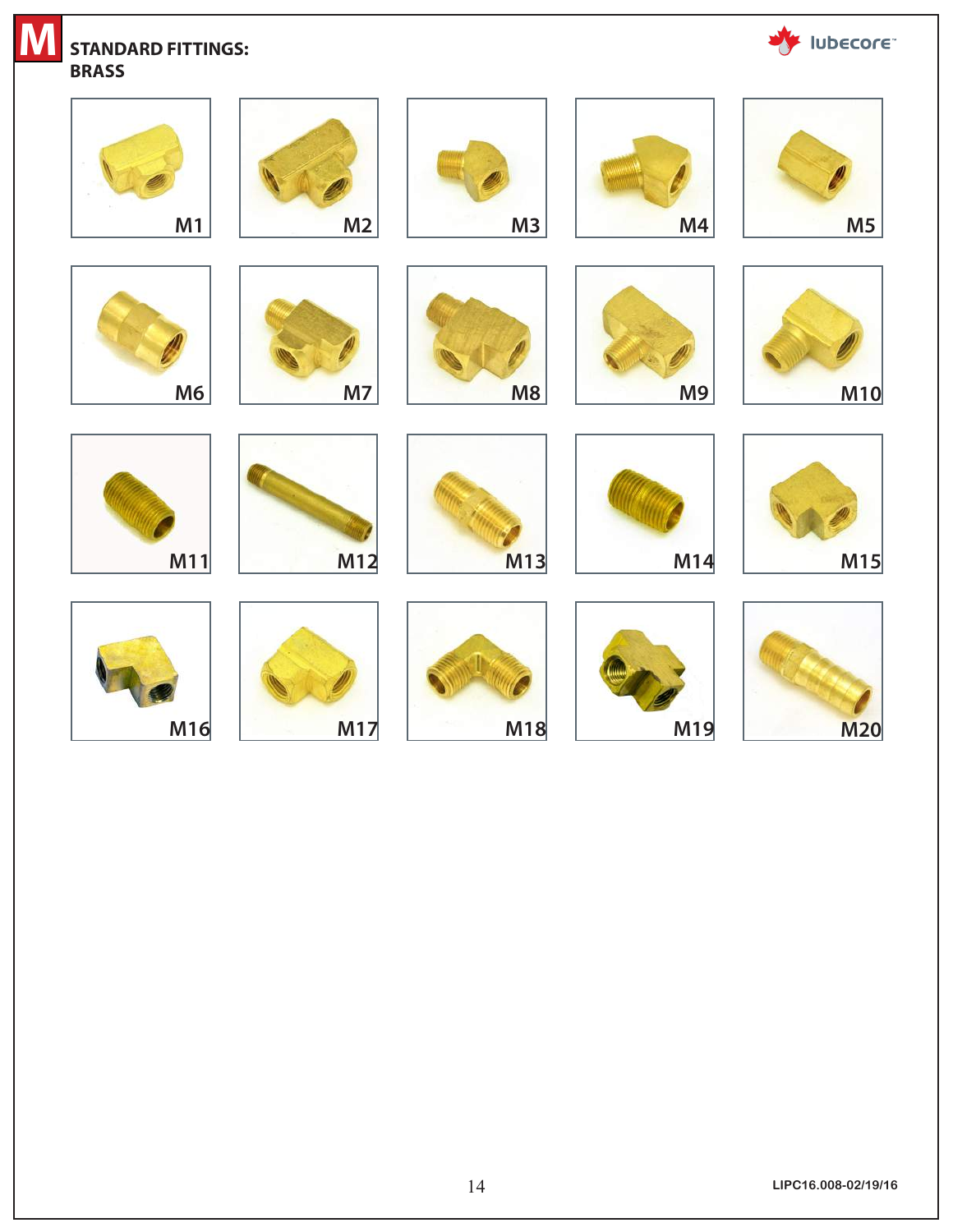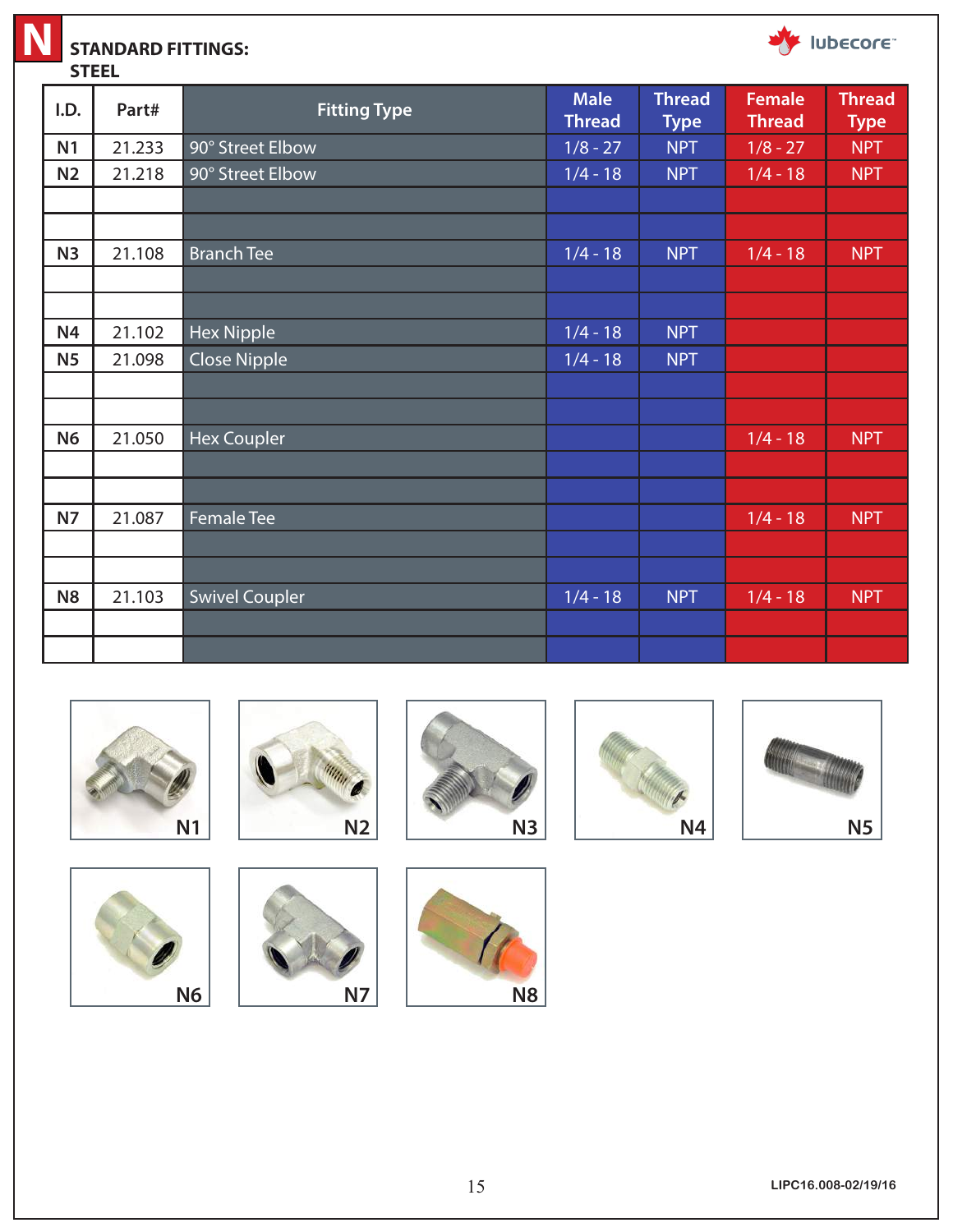

# **STANDARD FITTINGS:**



**STEEL**

| I.D.           | Part#  | <b>Fitting Type</b>   | <b>Male</b><br><b>Thread</b> | <b>Thread</b><br><b>Type</b> | <b>Female</b><br><b>Thread</b> | <b>Thread</b><br><b>Type</b> |
|----------------|--------|-----------------------|------------------------------|------------------------------|--------------------------------|------------------------------|
| N <sub>1</sub> | 21.233 | 90° Street Elbow      | $1/8 - 27$                   | <b>NPT</b>                   | $1/8 - 27$                     | <b>NPT</b>                   |
| N <sub>2</sub> | 21.218 | 90° Street Elbow      | $1/4 - 18$                   | <b>NPT</b>                   | $1/4 - 18$                     | <b>NPT</b>                   |
|                |        |                       |                              |                              |                                |                              |
|                |        |                       |                              |                              |                                |                              |
| N3             | 21.108 | <b>Branch Tee</b>     | $1/4 - 18$                   | <b>NPT</b>                   | $1/4 - 18$                     | <b>NPT</b>                   |
|                |        |                       |                              |                              |                                |                              |
|                |        |                       |                              |                              |                                |                              |
| <b>N4</b>      | 21.102 | <b>Hex Nipple</b>     | $1/4 - 18$                   | <b>NPT</b>                   |                                |                              |
| N <sub>5</sub> | 21.098 | <b>Close Nipple</b>   | $1/4 - 18$                   | <b>NPT</b>                   |                                |                              |
|                |        |                       |                              |                              |                                |                              |
|                |        |                       |                              |                              |                                |                              |
| <b>N6</b>      | 21.050 | Hex Coupler           |                              |                              | $1/4 - 18$                     | <b>NPT</b>                   |
|                |        |                       |                              |                              |                                |                              |
|                |        |                       |                              |                              |                                |                              |
| <b>N7</b>      | 21.087 | <b>Female Tee</b>     |                              |                              | $1/4 - 18$                     | <b>NPT</b>                   |
|                |        |                       |                              |                              |                                |                              |
|                |        |                       |                              |                              |                                |                              |
| N <sub>8</sub> | 21.103 | <b>Swivel Coupler</b> | $1/4 - 18$                   | <b>NPT</b>                   | $1/4 - 18$                     | <b>NPT</b>                   |
|                |        |                       |                              |                              |                                |                              |
|                |        |                       |                              |                              |                                |                              |



**N6 N7 N8**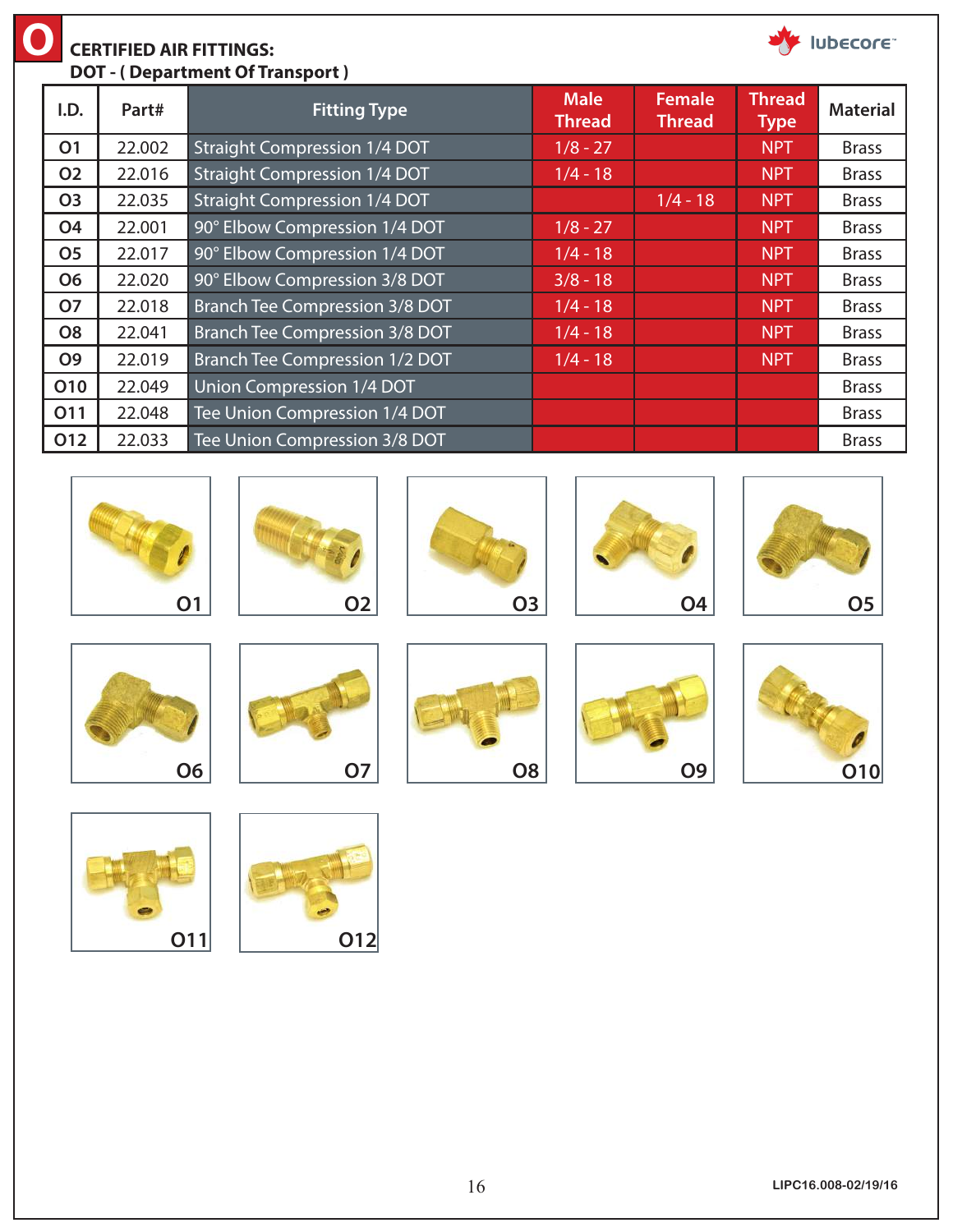| <b>ubecore</b><br><b>CERTIFIED AIR FITTINGS:</b><br><b>DOT</b> - (Department Of Transport) |                |        |                                       |                              |                                |                              |                 |
|--------------------------------------------------------------------------------------------|----------------|--------|---------------------------------------|------------------------------|--------------------------------|------------------------------|-----------------|
|                                                                                            | I.D.           | Part#  | <b>Fitting Type</b>                   | <b>Male</b><br><b>Thread</b> | <b>Female</b><br><b>Thread</b> | <b>Thread</b><br><b>Type</b> | <b>Material</b> |
|                                                                                            | <b>O1</b>      | 22.002 | <b>Straight Compression 1/4 DOT</b>   | $1/8 - 27$                   |                                | <b>NPT</b>                   | <b>Brass</b>    |
|                                                                                            | <b>O2</b>      | 22.016 | <b>Straight Compression 1/4 DOT</b>   | $1/4 - 18$                   |                                | <b>NPT</b>                   | <b>Brass</b>    |
|                                                                                            | <b>O3</b>      | 22.035 | <b>Straight Compression 1/4 DOT</b>   |                              | $1/4 - 18$                     | <b>NPT</b>                   | <b>Brass</b>    |
|                                                                                            | <b>O4</b>      | 22.001 | 90° Elbow Compression 1/4 DOT         | $1/8 - 27$                   |                                | <b>NPT</b>                   | <b>Brass</b>    |
|                                                                                            | <b>O5</b>      | 22.017 | 90° Elbow Compression 1/4 DOT         | $1/4 - 18$                   |                                | <b>NPT</b>                   | <b>Brass</b>    |
|                                                                                            | <b>O6</b>      | 22.020 | 90° Elbow Compression 3/8 DOT         | $3/8 - 18$                   |                                | <b>NPT</b>                   | <b>Brass</b>    |
|                                                                                            | <b>O7</b>      | 22.018 | Branch Tee Compression 3/8 DOT        | $1/4 - 18$                   |                                | <b>NPT</b>                   | <b>Brass</b>    |
|                                                                                            | O <sub>8</sub> | 22.041 | Branch Tee Compression 3/8 DOT        | $1/4 - 18$                   |                                | <b>NPT</b>                   | <b>Brass</b>    |
|                                                                                            | <b>O9</b>      | 22.019 | <b>Branch Tee Compression 1/2 DOT</b> | $1/4 - 18$                   |                                | <b>NPT</b>                   | <b>Brass</b>    |
|                                                                                            | <b>O10</b>     | 22.049 | Union Compression 1/4 DOT             |                              |                                |                              | <b>Brass</b>    |
|                                                                                            | O11            | 22.048 | Tee Union Compression 1/4 DOT         |                              |                                |                              | <b>Brass</b>    |
|                                                                                            | O12            | 22.033 | Tee Union Compression 3/8 DOT         |                              |                                |                              | <b>Brass</b>    |























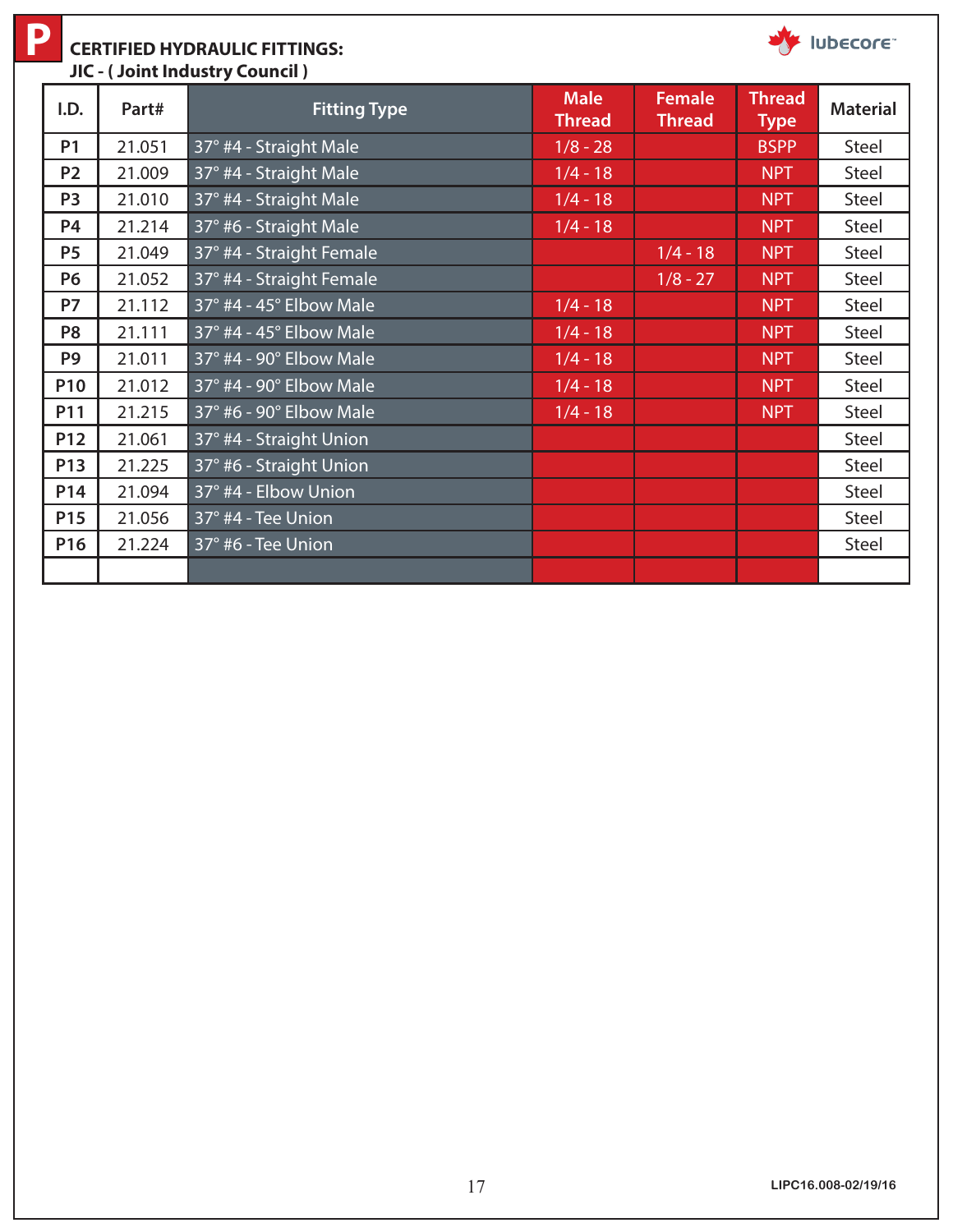**P**

#### **CERTIFIED HYDRAULIC FITTINGS: JIC - ( Joint Industry Council )**

| I.D.            | Part#  | <b>Fitting Type</b>      | <b>Male</b><br><b>Thread</b> | <b>Female</b><br><b>Thread</b> | <b>Thread</b><br><b>Type</b> | <b>Material</b> |
|-----------------|--------|--------------------------|------------------------------|--------------------------------|------------------------------|-----------------|
| <b>P1</b>       | 21.051 | 37° #4 - Straight Male   | $1/8 - 28$                   |                                | <b>BSPP</b>                  | Steel           |
| <b>P2</b>       | 21.009 | 37° #4 - Straight Male   | $1/4 - 18$                   |                                | <b>NPT</b>                   | <b>Steel</b>    |
| P <sub>3</sub>  | 21.010 | 37° #4 - Straight Male   | $1/4 - 18$                   |                                | <b>NPT</b>                   | <b>Steel</b>    |
| P4              | 21.214 | 37° #6 - Straight Male   | $1/4 - 18$                   |                                | <b>NPT</b>                   | Steel           |
| <b>P5</b>       | 21.049 | 37° #4 - Straight Female |                              | $1/4 - 18$                     | <b>NPT</b>                   | <b>Steel</b>    |
| <b>P6</b>       | 21.052 | 37° #4 - Straight Female |                              | $1/8 - 27$                     | <b>NPT</b>                   | <b>Steel</b>    |
| <b>P7</b>       | 21.112 | 37° #4 - 45° Elbow Male  | $1/4 - 18$                   |                                | <b>NPT</b>                   | <b>Steel</b>    |
| P <sub>8</sub>  | 21.111 | 37° #4 - 45° Elbow Male  | $1/4 - 18$                   |                                | <b>NPT</b>                   | <b>Steel</b>    |
| P <sub>9</sub>  | 21.011 | 37° #4 - 90° Elbow Male  | $1/4 - 18$                   |                                | <b>NPT</b>                   | <b>Steel</b>    |
| <b>P10</b>      | 21.012 | 37° #4 - 90° Elbow Male  | $1/4 - 18$                   |                                | <b>NPT</b>                   | <b>Steel</b>    |
| P11             | 21.215 | 37° #6 - 90° Elbow Male  | $1/4 - 18$                   |                                | <b>NPT</b>                   | <b>Steel</b>    |
| <b>P12</b>      | 21.061 | 37° #4 - Straight Union  |                              |                                |                              | Steel           |
| P13             | 21.225 | 37° #6 - Straight Union  |                              |                                |                              | <b>Steel</b>    |
| P14             | 21.094 | 37° #4 - Elbow Union     |                              |                                |                              | <b>Steel</b>    |
| P <sub>15</sub> | 21.056 | 37° #4 - Tee Union       |                              |                                |                              | Steel           |
| P16             | 21.224 | 37° #6 - Tee Union       |                              |                                |                              | Steel           |
|                 |        |                          |                              |                                |                              |                 |

**WE IUDECOFE**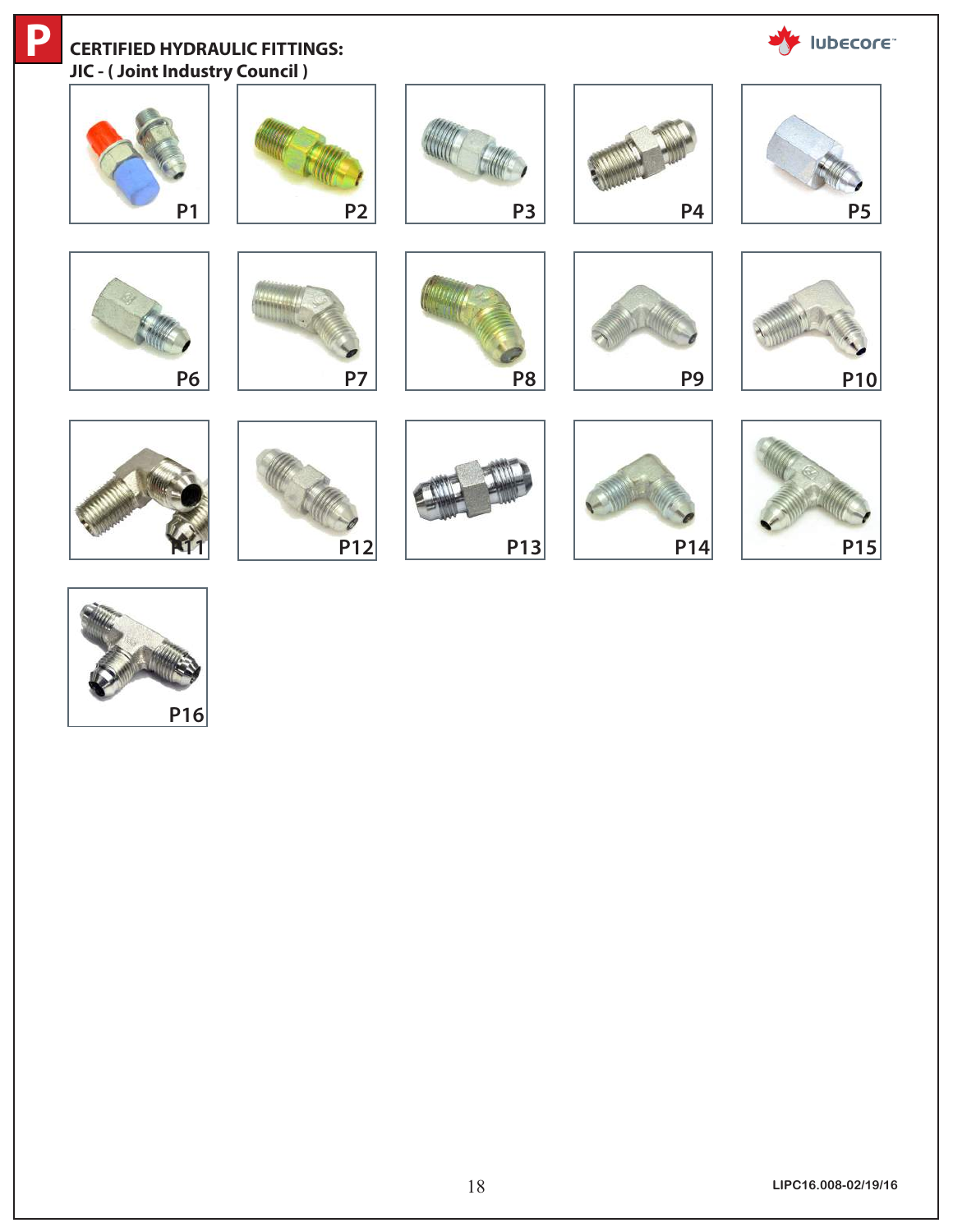

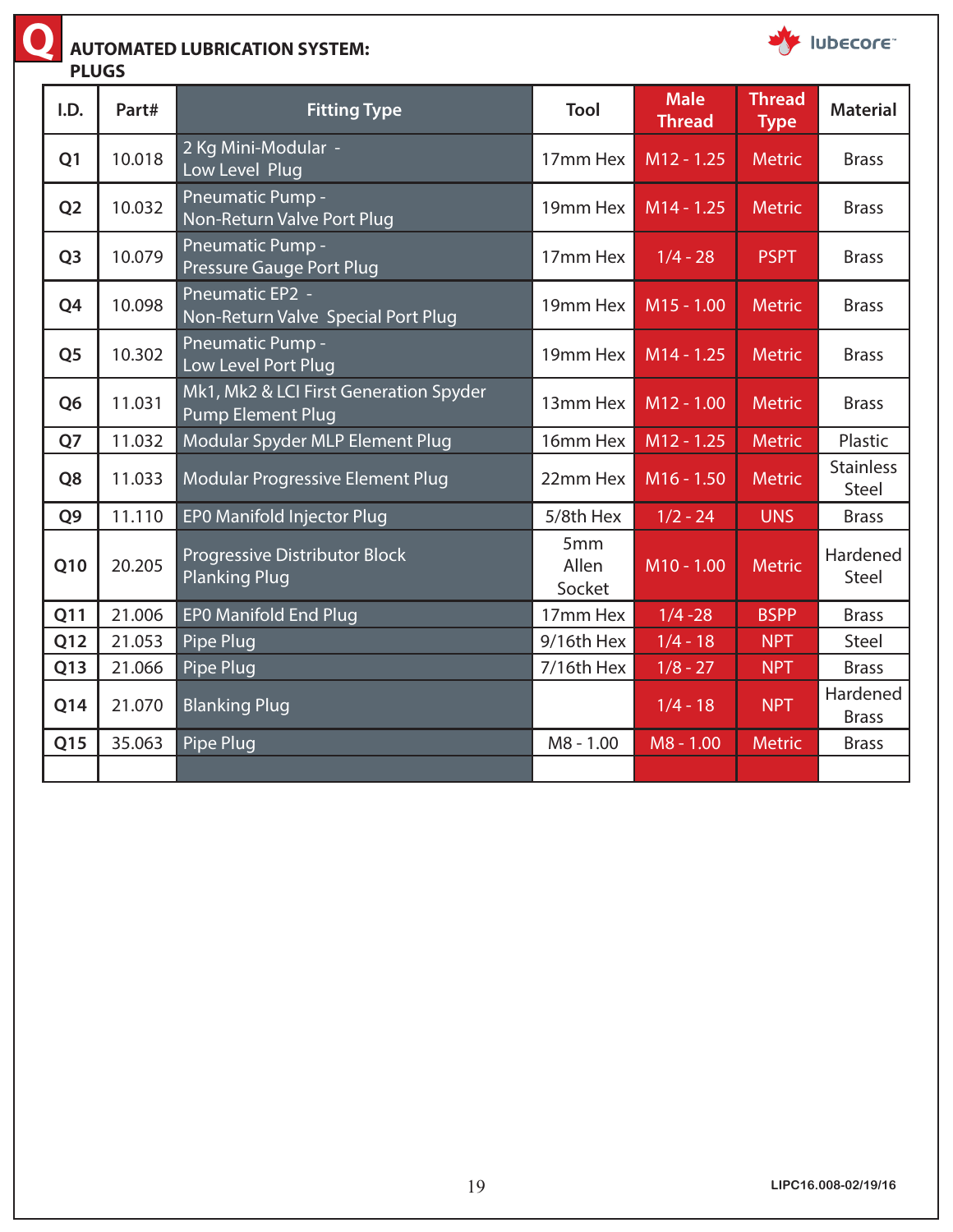

### **AUTOMATED LUBRICATION SYSTEM:**

**PLUGS**

| I.D.           | Part#  | <b>Fitting Type</b>                                                | Tool                               | <b>Male</b><br><b>Thread</b> | <b>Thread</b><br><b>Type</b> | <b>Material</b>           |
|----------------|--------|--------------------------------------------------------------------|------------------------------------|------------------------------|------------------------------|---------------------------|
| Q <sub>1</sub> | 10.018 | 2 Kg Mini-Modular -<br>Low Level Plug                              | 17mm Hex                           | $M12 - 1.25$                 | <b>Metric</b>                | <b>Brass</b>              |
| Q <sub>2</sub> | 10.032 | Pneumatic Pump -<br>Non-Return Valve Port Plug                     | 19mm Hex                           | M14 - 1.25                   | <b>Metric</b>                | <b>Brass</b>              |
| Q <sub>3</sub> | 10.079 | Pneumatic Pump -<br>Pressure Gauge Port Plug                       | 17mm Hex                           | $1/4 - 28$                   | <b>PSPT</b>                  | <b>Brass</b>              |
| Q4             | 10.098 | <b>Pneumatic EP2 -</b><br>Non-Return Valve Special Port Plug       | 19mm Hex                           | $M15 - 1.00$                 | <b>Metric</b>                | <b>Brass</b>              |
| Q <sub>5</sub> | 10.302 | Pneumatic Pump -<br>Low Level Port Plug                            | 19mm Hex                           | M14 - 1.25                   | <b>Metric</b>                | <b>Brass</b>              |
| Q <sub>6</sub> | 11.031 | Mk1, Mk2 & LCI First Generation Spyder<br><b>Pump Element Plug</b> | 13mm Hex                           | M12 - 1.00                   | <b>Metric</b>                | <b>Brass</b>              |
| Q7             | 11.032 | Modular Spyder MLP Element Plug                                    | 16mm Hex                           | $M12 - 1.25$                 | <b>Metric</b>                | Plastic                   |
| Q8             | 11.033 | Modular Progressive Element Plug                                   | 22mm Hex                           | M16 - 1.50                   | <b>Metric</b>                | <b>Stainless</b><br>Steel |
| Q <sub>9</sub> | 11.110 | EP0 Manifold Injector Plug                                         | 5/8th Hex                          | $1/2 - 24$                   | <b>UNS</b>                   | <b>Brass</b>              |
| Q10            | 20.205 | Progressive Distributor Block<br><b>Planking Plug</b>              | 5 <sub>mm</sub><br>Allen<br>Socket | M10 - 1.00                   | <b>Metric</b>                | Hardened<br><b>Steel</b>  |
| Q11            | 21.006 | <b>EPO Manifold End Plug</b>                                       | 17mm Hex                           | $1/4 - 28$                   | <b>BSPP</b>                  | <b>Brass</b>              |
| Q12            | 21.053 | Pipe Plug                                                          | 9/16th Hex                         | $1/4 - 18$                   | <b>NPT</b>                   | Steel                     |
| Q13            | 21.066 | Pipe Plug                                                          | 7/16th Hex                         | $1/8 - 27$                   | <b>NPT</b>                   | <b>Brass</b>              |
| Q14            | 21.070 | <b>Blanking Plug</b>                                               |                                    | $1/4 - 18$                   | <b>NPT</b>                   | Hardened<br><b>Brass</b>  |
| Q15            | 35.063 | <b>Pipe Plug</b>                                                   | M8 - 1.00                          | M8 - 1.00                    | <b>Metric</b>                | <b>Brass</b>              |
|                |        |                                                                    |                                    |                              |                              |                           |

**WE IUDECOFE**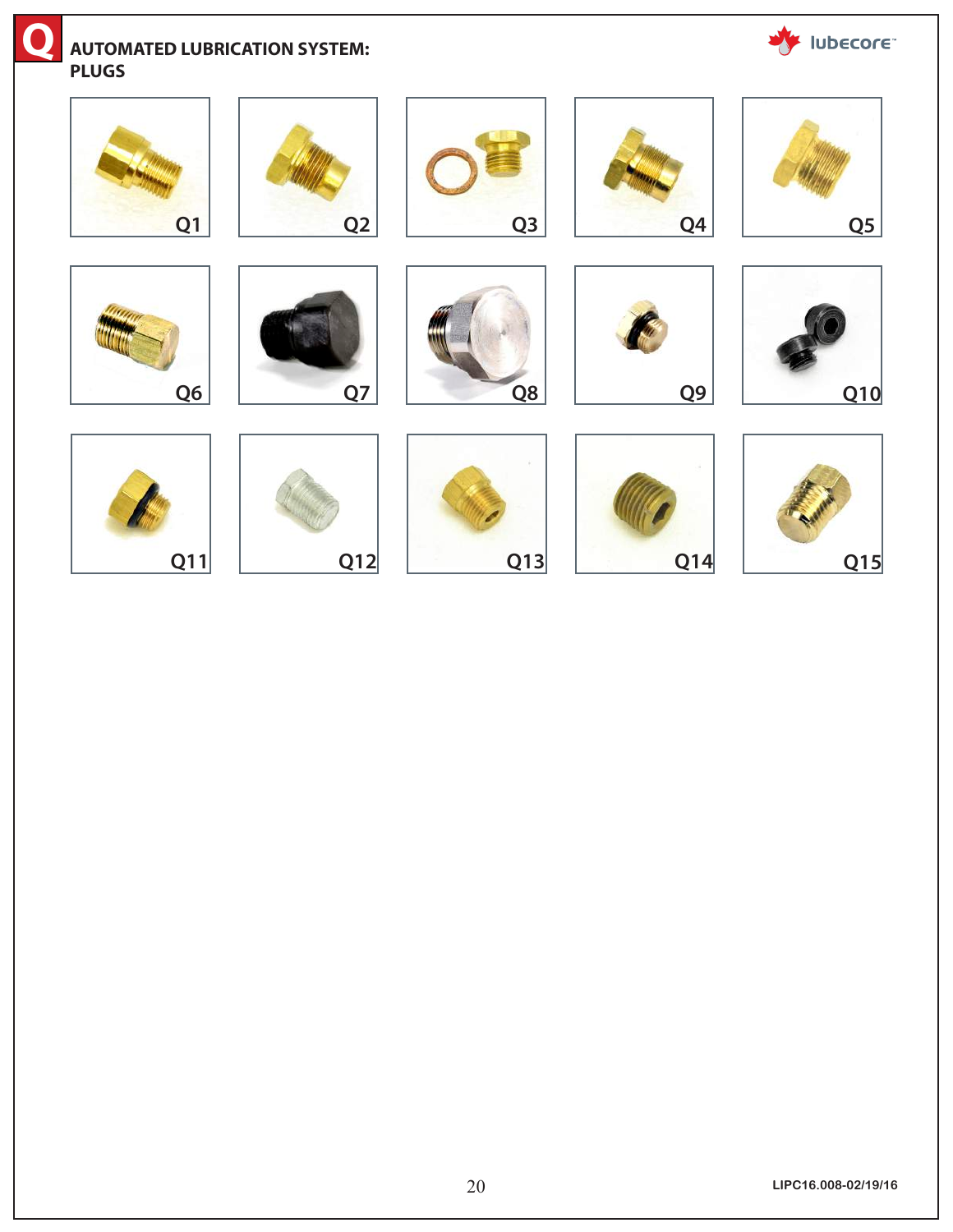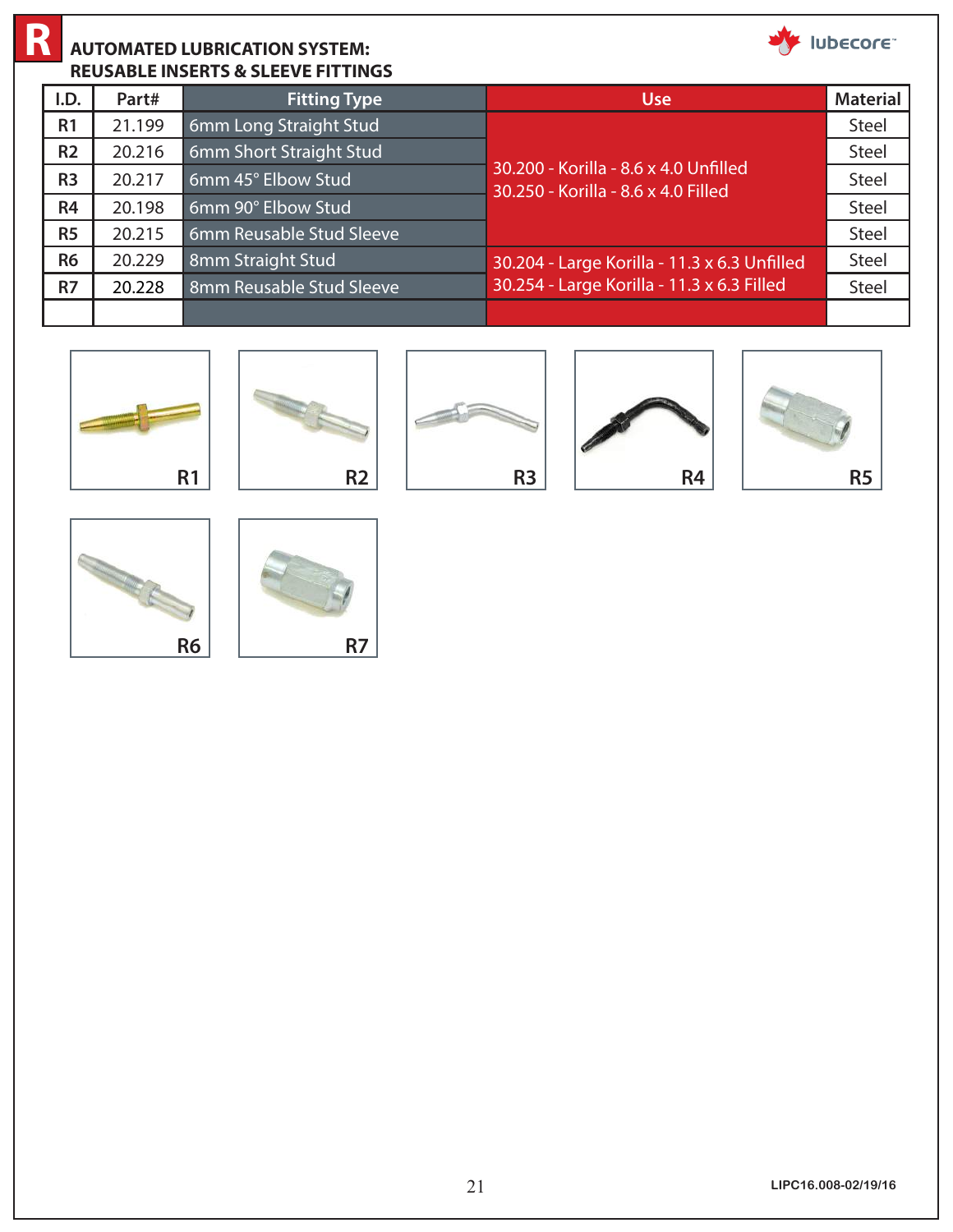

#### **AUTOMATED LUBRICATION SYSTEM: REUSABLE INSERTS & SLEEVE FITTINGS R**

| I.D.           | Part#  | <b>Fitting Type</b>      | <b>Use</b>                                                                   | <b>Material</b> |
|----------------|--------|--------------------------|------------------------------------------------------------------------------|-----------------|
| R <sub>1</sub> | 21.199 | 6mm Long Straight Stud   |                                                                              | Steel           |
| R <sub>2</sub> | 20.216 | 6mm Short Straight Stud  |                                                                              | Steel           |
| R <sub>3</sub> | 20.217 | 6mm 45° Elbow Stud       | 30.200 - Korilla - 8.6 x 4.0 Unfilled<br>30.250 - Korilla - 8.6 x 4.0 Filled | Steel           |
| R <sub>4</sub> | 20.198 | 6mm 90° Elbow Stud       |                                                                              | Steel           |
| R <sub>5</sub> | 20.215 | 6mm Reusable Stud Sleeve |                                                                              | Steel           |
| <b>R6</b>      | 20.229 | 8mm Straight Stud        | 30.204 - Large Korilla - 11.3 x 6.3 Unfilled                                 | Steel           |
| R7             | 20.228 | 8mm Reusable Stud Sleeve | 30.254 - Large Korilla - 11.3 x 6.3 Filled                                   | Steel           |
|                |        |                          |                                                                              |                 |













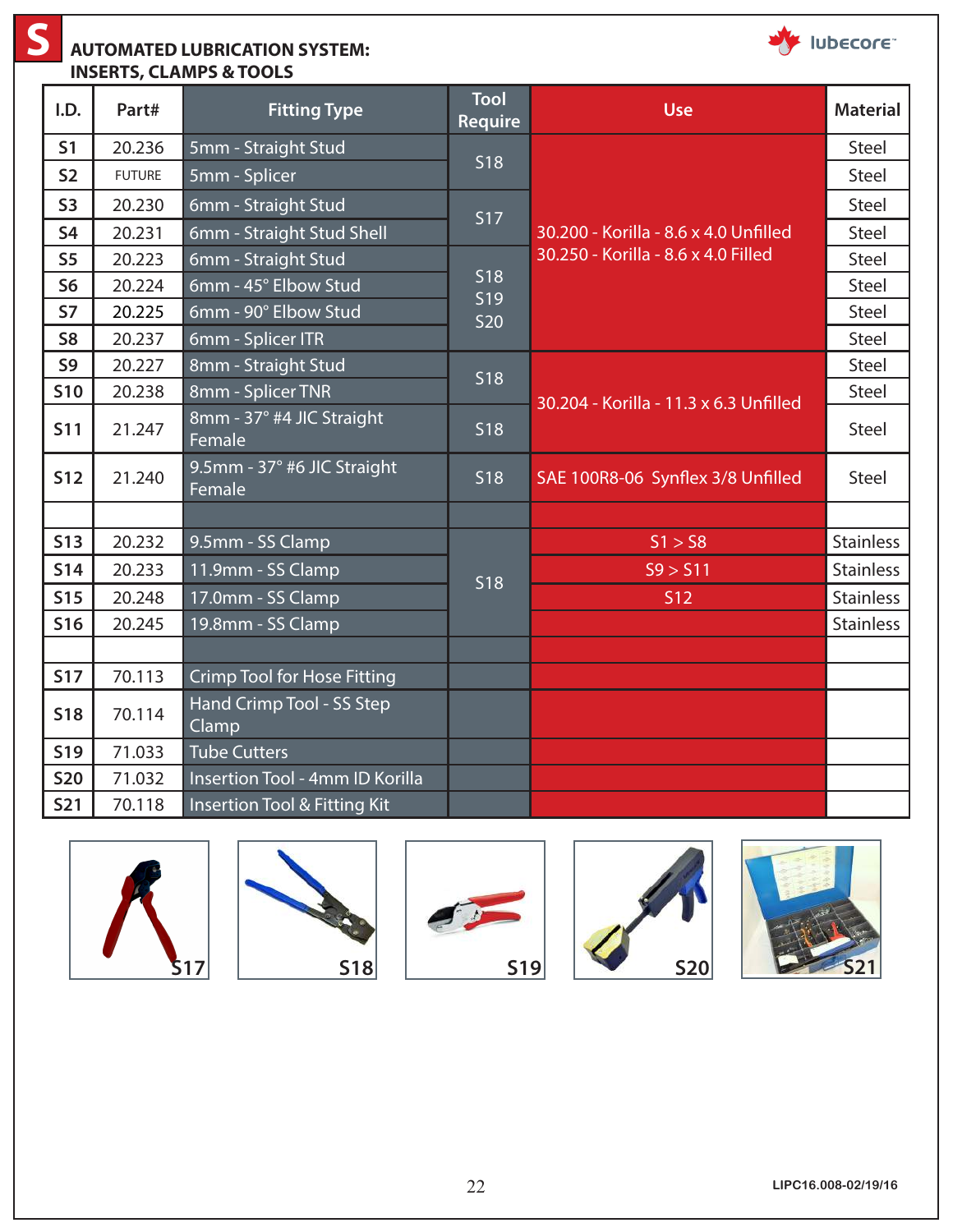**S**

#### **AUTOMATED LUBRICATION SYSTEM: INSERTS, CLAMPS & TOOLS**



| I.D.           | Part#         | <b>Fitting Type</b>                   | <b>Tool</b><br><b>Require</b> | <b>Use</b>                             | <b>Material</b>  |
|----------------|---------------|---------------------------------------|-------------------------------|----------------------------------------|------------------|
| S <sub>1</sub> | 20.236        | 5mm - Straight Stud                   | <b>S18</b>                    |                                        | <b>Steel</b>     |
| S <sub>2</sub> | <b>FUTURE</b> | 5mm - Splicer                         |                               |                                        | <b>Steel</b>     |
| <b>S3</b>      | 20.230        | 6mm - Straight Stud                   | <b>S17</b>                    |                                        | Steel            |
| <b>S4</b>      | 20.231        | 6mm - Straight Stud Shell             |                               | 30.200 - Korilla - 8.6 x 4.0 Unfilled  | Steel            |
| S <sub>5</sub> | 20.223        | 6mm - Straight Stud                   |                               | 30.250 - Korilla - 8.6 x 4.0 Filled    | <b>Steel</b>     |
| <b>S6</b>      | 20.224        | 6mm - 45° Elbow Stud                  | <b>S18</b><br>S <sub>19</sub> |                                        | Steel            |
| <b>S7</b>      | 20.225        | 6mm - 90° Elbow Stud                  | <b>S20</b>                    |                                        | <b>Steel</b>     |
| S <sub>8</sub> | 20.237        | 6mm - Splicer ITR                     |                               |                                        | Steel            |
| S <sub>9</sub> | 20.227        | 8mm - Straight Stud                   | <b>S18</b>                    |                                        | Steel            |
| <b>S10</b>     | 20.238        | 8mm - Splicer TNR                     |                               | 30.204 - Korilla - 11.3 x 6.3 Unfilled | Steel            |
| <b>S11</b>     | 21.247        | 8mm - 37° #4 JIC Straight<br>Female   | <b>S18</b>                    |                                        | <b>Steel</b>     |
| <b>S12</b>     | 21.240        | 9.5mm - 37° #6 JIC Straight<br>Female | <b>S18</b>                    | SAE 100R8-06 Synflex 3/8 Unfilled      | Steel            |
|                |               |                                       |                               |                                        |                  |
| S13            | 20.232        | 9.5mm - SS Clamp                      |                               | S1 > S8                                | <b>Stainless</b> |
| <b>S14</b>     | 20.233        | 11.9mm - SS Clamp                     | <b>S18</b>                    | S9 > S11                               | <b>Stainless</b> |
| <b>S15</b>     | 20.248        | 17.0mm - SS Clamp                     |                               | <b>S12</b>                             | <b>Stainless</b> |
| <b>S16</b>     | 20.245        | 19.8mm - SS Clamp                     |                               |                                        | <b>Stainless</b> |
|                |               |                                       |                               |                                        |                  |
| <b>S17</b>     | 70.113        | <b>Crimp Tool for Hose Fitting</b>    |                               |                                        |                  |
| <b>S18</b>     | 70.114        | Hand Crimp Tool - SS Step<br>Clamp    |                               |                                        |                  |
| <b>S19</b>     | 71.033        | <b>Tube Cutters</b>                   |                               |                                        |                  |
| <b>S20</b>     | 71.032        | Insertion Tool - 4mm ID Korilla       |                               |                                        |                  |
| <b>S21</b>     | 70.118        | Insertion Tool & Fitting Kit          |                               |                                        |                  |









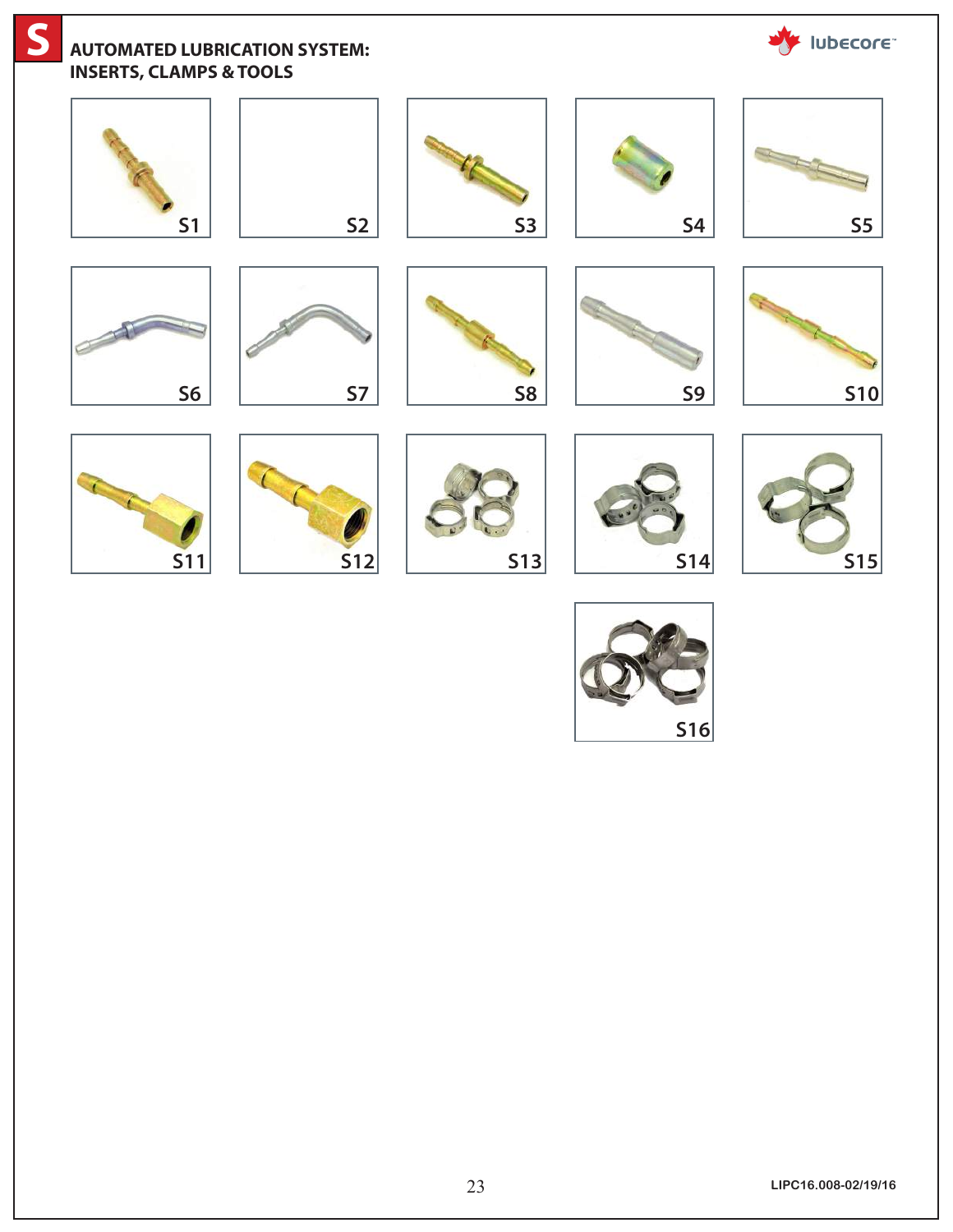